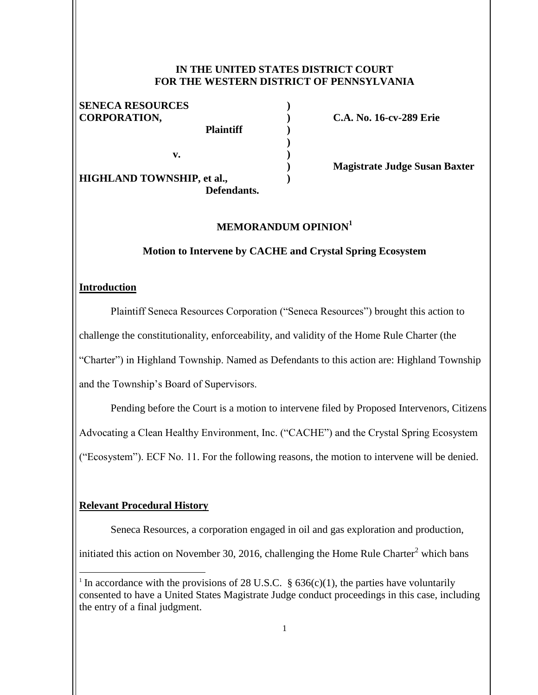### **IN THE UNITED STATES DISTRICT COURT FOR THE WESTERN DISTRICT OF PENNSYLVANIA**

**) ) ) ) ) ) )**

## **SENECA RESOURCES CORPORATION,**

**v.** 

 **Plaintiff HIGHLAND TOWNSHIP, et al., Defendants.**  **C.A. No. 16-cv-289 Erie**

 **Magistrate Judge Susan Baxter**

#### **MEMORANDUM OPINION<sup>1</sup>**

#### **Motion to Intervene by CACHE and Crystal Spring Ecosystem**

#### **Introduction**

Plaintiff Seneca Resources Corporation ("Seneca Resources") brought this action to challenge the constitutionality, enforceability, and validity of the Home Rule Charter (the "Charter") in Highland Township. Named as Defendants to this action are: Highland Township and the Township's Board of Supervisors.

Pending before the Court is a motion to intervene filed by Proposed Intervenors, Citizens Advocating a Clean Healthy Environment, Inc. ("CACHE") and the Crystal Spring Ecosystem ("Ecosystem"). ECF No. 11. For the following reasons, the motion to intervene will be denied.

#### **Relevant Procedural History**

 $\overline{a}$ 

Seneca Resources, a corporation engaged in oil and gas exploration and production,

initiated this action on November 30, 2016, challenging the Home Rule Charter<sup>2</sup> which bans

<sup>&</sup>lt;sup>1</sup> In accordance with the provisions of 28 U.S.C.  $\S$  636(c)(1), the parties have voluntarily consented to have a United States Magistrate Judge conduct proceedings in this case, including the entry of a final judgment.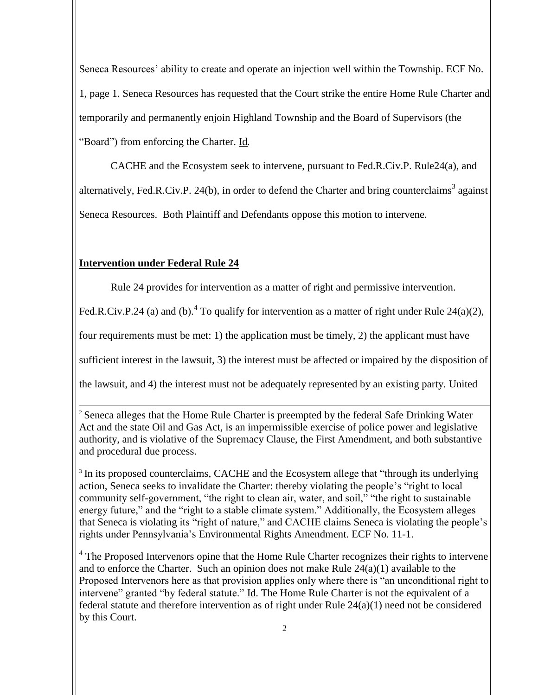Seneca Resources' ability to create and operate an injection well within the Township. ECF No. 1, page 1. Seneca Resources has requested that the Court strike the entire Home Rule Charter and temporarily and permanently enjoin Highland Township and the Board of Supervisors (the "Board") from enforcing the Charter. Id*.*

CACHE and the Ecosystem seek to intervene, pursuant to Fed.R.Civ.P. Rule24(a), and alternatively, Fed.R.Civ.P. 24(b), in order to defend the Charter and bring counterclaims<sup>3</sup> against Seneca Resources. Both Plaintiff and Defendants oppose this motion to intervene.

# **Intervention under Federal Rule 24**

Rule 24 provides for intervention as a matter of right and permissive intervention.

Fed.R.Civ.P.24 (a) and (b).<sup>4</sup> To qualify for intervention as a matter of right under Rule 24(a)(2),

four requirements must be met: 1) the application must be timely, 2) the applicant must have

sufficient interest in the lawsuit, 3) the interest must be affected or impaired by the disposition of

the lawsuit, and 4) the interest must not be adequately represented by an existing party. United

l <sup>2</sup> Seneca alleges that the Home Rule Charter is preempted by the federal Safe Drinking Water Act and the state Oil and Gas Act, is an impermissible exercise of police power and legislative authority, and is violative of the Supremacy Clause, the First Amendment, and both substantive and procedural due process.

<sup>3</sup> In its proposed counterclaims, CACHE and the Ecosystem allege that "through its underlying action, Seneca seeks to invalidate the Charter: thereby violating the people's "right to local community self-government, "the right to clean air, water, and soil," "the right to sustainable energy future," and the "right to a stable climate system." Additionally, the Ecosystem alleges that Seneca is violating its "right of nature," and CACHE claims Seneca is violating the people's rights under Pennsylvania's Environmental Rights Amendment. ECF No. 11-1.

<sup>4</sup> The Proposed Intervenors opine that the Home Rule Charter recognizes their rights to intervene and to enforce the Charter. Such an opinion does not make Rule  $24(a)(1)$  available to the Proposed Intervenors here as that provision applies only where there is "an unconditional right to intervene" granted "by federal statute." Id. The Home Rule Charter is not the equivalent of a federal statute and therefore intervention as of right under Rule 24(a)(1) need not be considered by this Court.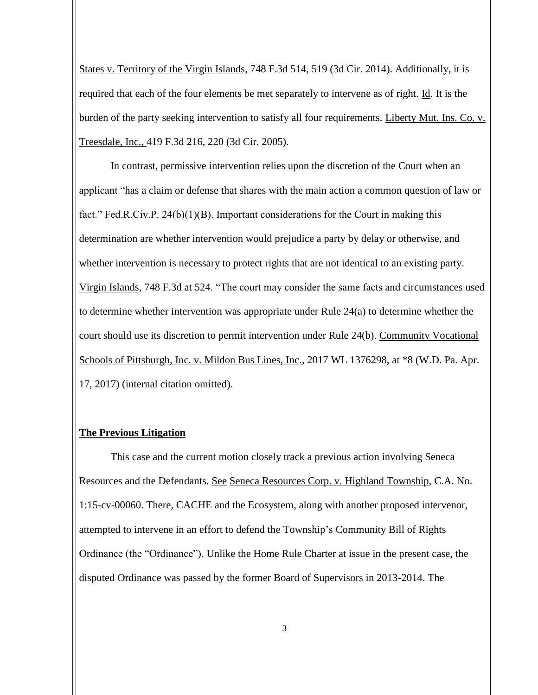States v. Territory of the Virgin Islands, 748 F.3d 514, 519 (3d Cir. 2014). Additionally, it is required that each of the four elements be met separately to intervene as of right. Id*.* It is the burden of the party seeking intervention to satisfy all four requirements. Liberty Mut. Ins. Co. v. Treesdale, Inc., 419 F.3d 216, 220 (3d Cir. 2005).

In contrast, permissive intervention relies upon the discretion of the Court when an applicant "has a claim or defense that shares with the main action a common question of law or fact." Fed.R.Civ.P. 24(b)(1)(B). Important considerations for the Court in making this determination are whether intervention would prejudice a party by delay or otherwise, and whether intervention is necessary to protect rights that are not identical to an existing party. Virgin Islands, 748 F.3d at 524. "The court may consider the same facts and circumstances used to determine whether intervention was appropriate under Rule 24(a) to determine whether the court should use its discretion to permit intervention under Rule 24(b). Community Vocational Schools of Pittsburgh, Inc. v. Mildon Bus Lines, Inc., 2017 WL 1376298, at  $*8$  (W.D. Pa. Apr. 17, 2017) (internal citation omitted).

### **The Previous Litigation**

This case and the current motion closely track a previous action involving Seneca Resources and the Defendants. See Seneca Resources Corp. v. Highland Township, C.A. No. 1:15-cv-00060. There, CACHE and the Ecosystem, along with another proposed intervenor, attempted to intervene in an effort to defend the Township's Community Bill of Rights Ordinance (the "Ordinance"). Unlike the Home Rule Charter at issue in the present case, the disputed Ordinance was passed by the former Board of Supervisors in 2013-2014. The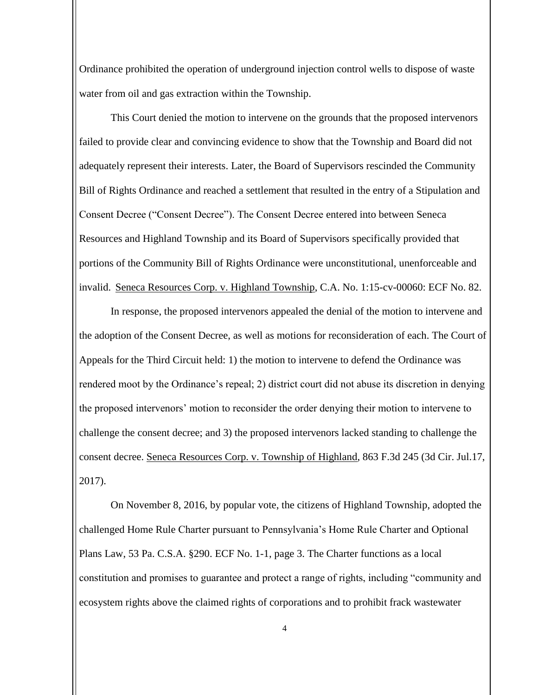Ordinance prohibited the operation of underground injection control wells to dispose of waste water from oil and gas extraction within the Township.

This Court denied the motion to intervene on the grounds that the proposed intervenors failed to provide clear and convincing evidence to show that the Township and Board did not adequately represent their interests. Later, the Board of Supervisors rescinded the Community Bill of Rights Ordinance and reached a settlement that resulted in the entry of a Stipulation and Consent Decree ("Consent Decree"). The Consent Decree entered into between Seneca Resources and Highland Township and its Board of Supervisors specifically provided that portions of the Community Bill of Rights Ordinance were unconstitutional, unenforceable and invalid. Seneca Resources Corp. v. Highland Township, C.A. No. 1:15-cv-00060: ECF No. 82.

In response, the proposed intervenors appealed the denial of the motion to intervene and the adoption of the Consent Decree, as well as motions for reconsideration of each. The Court of Appeals for the Third Circuit held: 1) the motion to intervene to defend the Ordinance was rendered moot by the Ordinance's repeal; 2) district court did not abuse its discretion in denying the proposed intervenors' motion to reconsider the order denying their motion to intervene to challenge the consent decree; and 3) the proposed intervenors lacked standing to challenge the consent decree. Seneca Resources Corp. v. Township of Highland, 863 F.3d 245 (3d Cir. Jul.17, 2017).

On November 8, 2016, by popular vote, the citizens of Highland Township, adopted the challenged Home Rule Charter pursuant to Pennsylvania's Home Rule Charter and Optional Plans Law, 53 Pa. C.S.A. §290. ECF No. 1-1, page 3. The Charter functions as a local constitution and promises to guarantee and protect a range of rights, including "community and ecosystem rights above the claimed rights of corporations and to prohibit frack wastewater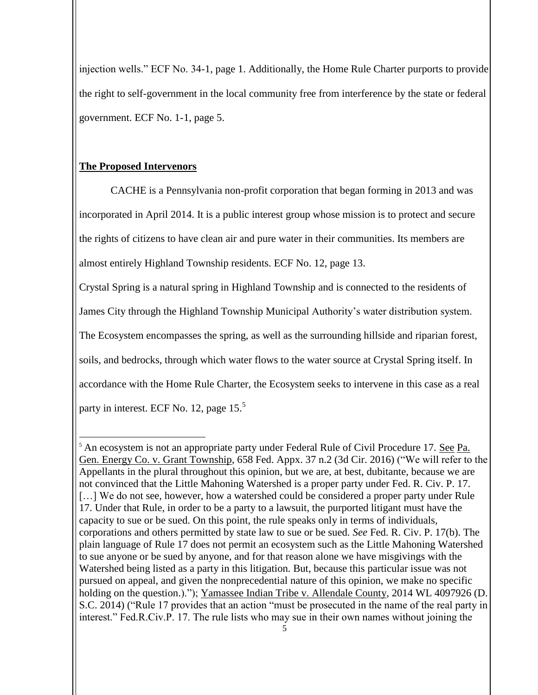injection wells." ECF No. 34-1, page 1. Additionally, the Home Rule Charter purports to provide the right to self-government in the local community free from interference by the state or federal government. ECF No. 1-1, page 5.

# **The Proposed Intervenors**

 $\overline{a}$ 

CACHE is a Pennsylvania non-profit corporation that began forming in 2013 and was incorporated in April 2014. It is a public interest group whose mission is to protect and secure the rights of citizens to have clean air and pure water in their communities. Its members are almost entirely Highland Township residents. ECF No. 12, page 13.

Crystal Spring is a natural spring in Highland Township and is connected to the residents of James City through the Highland Township Municipal Authority's water distribution system. The Ecosystem encompasses the spring, as well as the surrounding hillside and riparian forest, soils, and bedrocks, through which water flows to the water source at Crystal Spring itself. In accordance with the Home Rule Charter, the Ecosystem seeks to intervene in this case as a real party in interest. ECF No. 12, page 15.<sup>5</sup>

<sup>&</sup>lt;sup>5</sup> An ecosystem is not an appropriate party under Federal Rule of Civil Procedure 17. See Pa. Gen. Energy Co. v. Grant Township, 658 Fed. Appx. 37 n.2 (3d Cir. 2016) ("We will refer to the Appellants in the plural throughout this opinion, but we are, at best, dubitante, because we are not convinced that the Little Mahoning Watershed is a proper party under Fed. R. Civ. P. 17. [...] We do not see, however, how a watershed could be considered a proper party under Rule 17. Under that Rule, in order to be a party to a lawsuit, the purported litigant must have the capacity to sue or be sued. On this point, the rule speaks only in terms of individuals, corporations and others permitted by state law to sue or be sued. *See* Fed. R. Civ. P. 17(b). The plain language of Rule 17 does not permit an ecosystem such as the Little Mahoning Watershed to sue anyone or be sued by anyone, and for that reason alone we have misgivings with the Watershed being listed as a party in this litigation. But, because this particular issue was not pursued on appeal, and given the nonprecedential nature of this opinion, we make no specific holding on the question.)."); Yamassee Indian Tribe v. Allendale County, 2014 WL 4097926 (D. S.C. 2014) ("Rule 17 provides that an action "must be prosecuted in the name of the real party in interest." Fed.R.Civ.P. 17. The rule lists who may sue in their own names without joining the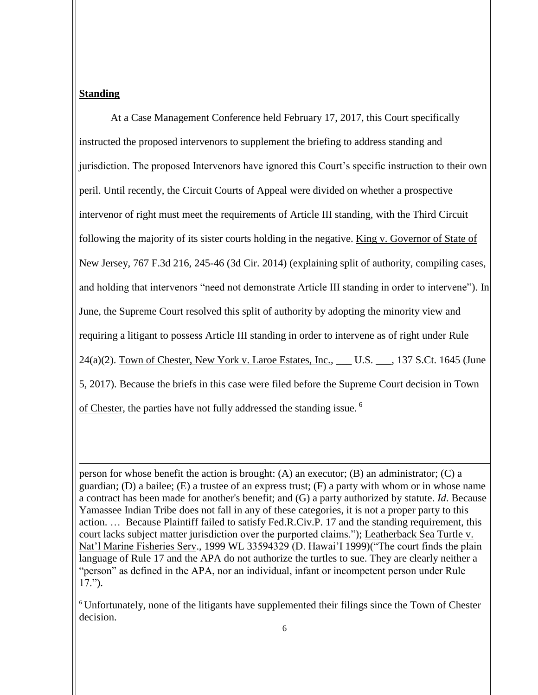## **Standing**

l

At a Case Management Conference held February 17, 2017, this Court specifically instructed the proposed intervenors to supplement the briefing to address standing and jurisdiction. The proposed Intervenors have ignored this Court's specific instruction to their own peril. Until recently, the Circuit Courts of Appeal were divided on whether a prospective intervenor of right must meet the requirements of Article III standing, with the Third Circuit following the majority of its sister courts holding in the negative. King v. Governor of State of New Jersey, 767 F.3d 216, 245-46 (3d Cir. 2014) (explaining split of authority, compiling cases, and holding that intervenors "need not demonstrate Article III standing in order to intervene"). In June, the Supreme Court resolved this split of authority by adopting the minority view and requiring a litigant to possess Article III standing in order to intervene as of right under Rule 24(a)(2). Town of Chester, New York v. Laroe Estates, Inc., \_\_\_ U.S. \_\_\_, 137 S.Ct. 1645 (June 5, 2017). Because the briefs in this case were filed before the Supreme Court decision in Town of Chester, the parties have not fully addressed the standing issue. <sup>6</sup>

person for whose benefit the action is brought: (A) an executor; (B) an administrator; (C) a guardian; (D) a bailee; (E) a trustee of an express trust; (F) a party with whom or in whose name a contract has been made for another's benefit; and (G) a party authorized by statute. *Id*. Because Yamassee Indian Tribe does not fall in any of these categories, it is not a proper party to this action. … Because Plaintiff failed to satisfy Fed.R.Civ.P. 17 and the standing requirement, this court lacks subject matter jurisdiction over the purported claims."); Leatherback Sea Turtle v. Nat'l Marine Fisheries Serv., 1999 WL 33594329 (D. Hawai'I 1999)("The court finds the plain language of Rule 17 and the APA do not authorize the turtles to sue. They are clearly neither a "person" as defined in the APA, nor an individual, infant or incompetent person under Rule 17.").

<sup>6</sup> Unfortunately, none of the litigants have supplemented their filings since the Town of Chester decision.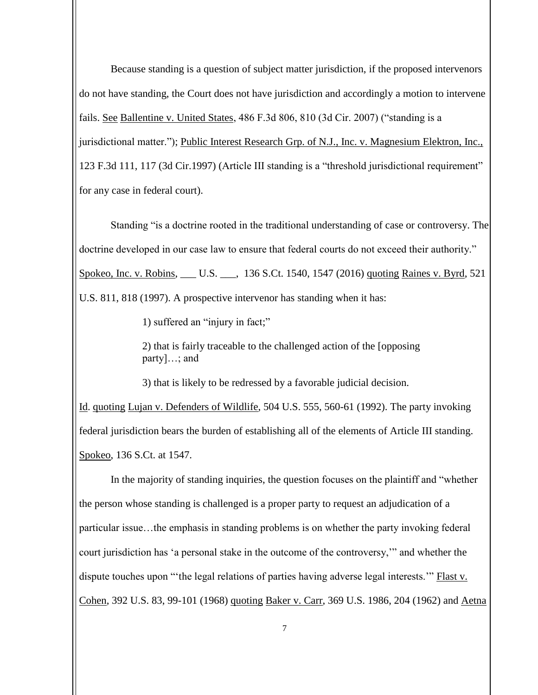Because standing is a question of subject matter jurisdiction, if the proposed intervenors do not have standing, the Court does not have jurisdiction and accordingly a motion to intervene fails. See Ballentine v. United States, 486 F.3d 806, 810 (3d Cir. 2007) ("standing is a jurisdictional matter."); Public Interest Research Grp. of N.J., Inc. v. Magnesium Elektron, Inc., 123 F.3d 111, 117 (3d Cir.1997) (Article III standing is a "threshold jurisdictional requirement" for any case in federal court).

Standing "is a doctrine rooted in the traditional understanding of case or controversy. The doctrine developed in our case law to ensure that federal courts do not exceed their authority." Spokeo, Inc. v. Robins, \_\_\_ U.S. \_\_\_, 136 S.Ct. 1540, 1547 (2016) quoting Raines v. Byrd, 521 U.S. 811, 818 (1997). A prospective intervenor has standing when it has:

1) suffered an "injury in fact;"

2) that is fairly traceable to the challenged action of the [opposing party]…; and

3) that is likely to be redressed by a favorable judicial decision.

Id. quoting Lujan v. Defenders of Wildlife, 504 U.S. 555, 560-61 (1992). The party invoking federal jurisdiction bears the burden of establishing all of the elements of Article III standing. Spokeo, 136 S.Ct. at 1547.

In the majority of standing inquiries, the question focuses on the plaintiff and "whether the person whose standing is challenged is a proper party to request an adjudication of a particular issue…the emphasis in standing problems is on whether the party invoking federal court jurisdiction has 'a personal stake in the outcome of the controversy,'" and whether the dispute touches upon "'the legal relations of parties having adverse legal interests.'" Flast v. Cohen, 392 U.S. 83, 99-101 (1968) quoting Baker v. Carr, 369 U.S. 1986, 204 (1962) and Aetna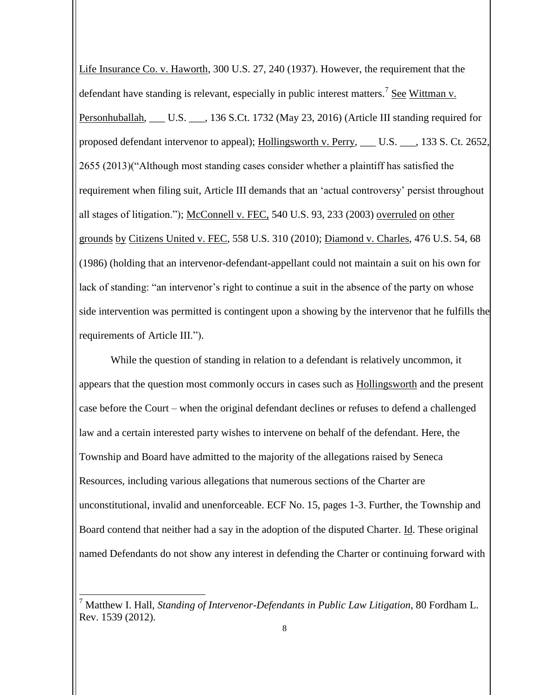Life Insurance Co. v. Haworth, 300 U.S. 27, 240 (1937). However, the requirement that the defendant have standing is relevant, especially in public interest matters.<sup>7</sup> See Wittman v. Personhuballah, \_\_\_ U.S. \_\_\_, 136 S.Ct. 1732 (May 23, 2016) (Article III standing required for proposed defendant intervenor to appeal); Hollingsworth v. Perry, \_\_\_ U.S. \_\_\_, 133 S. Ct. 2652, 2655 (2013)("Although most standing cases consider whether a plaintiff has satisfied the requirement when filing suit, Article III demands that an 'actual controversy' persist throughout all stages of litigation."); McConnell v. FEC, 540 U.S. 93, 233 (2003) overruled on other grounds by Citizens United v. FEC, 558 U.S. 310 (2010); Diamond v. Charles, 476 U.S. 54, 68 (1986) (holding that an intervenor-defendant-appellant could not maintain a suit on his own for lack of standing: "an intervenor's right to continue a suit in the absence of the party on whose side intervention was permitted is contingent upon a showing by the intervenor that he fulfills the requirements of Article III.").

While the question of standing in relation to a defendant is relatively uncommon, it appears that the question most commonly occurs in cases such as Hollingsworth and the present case before the Court – when the original defendant declines or refuses to defend a challenged law and a certain interested party wishes to intervene on behalf of the defendant. Here, the Township and Board have admitted to the majority of the allegations raised by Seneca Resources, including various allegations that numerous sections of the Charter are unconstitutional, invalid and unenforceable. ECF No. 15, pages 1-3. Further, the Township and Board contend that neither had a say in the adoption of the disputed Charter. Id. These original named Defendants do not show any interest in defending the Charter or continuing forward with

 $\overline{a}$ 

<sup>7</sup> Matthew I. Hall, *Standing of Intervenor-Defendants in Public Law Litigation*, 80 Fordham L. Rev. 1539 (2012).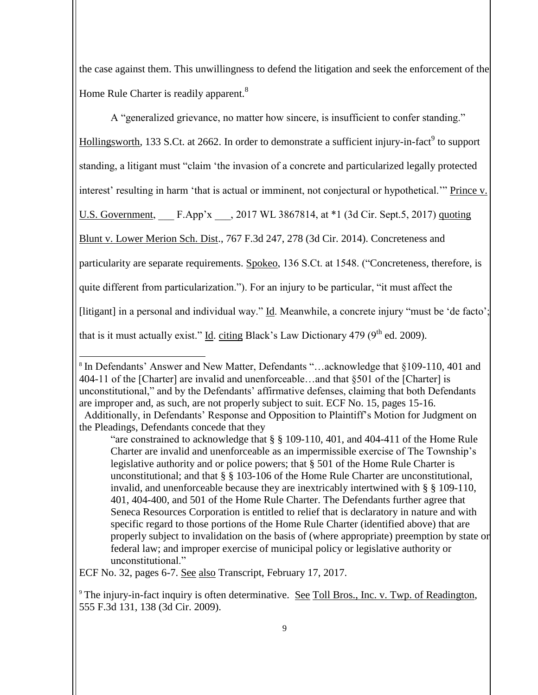the case against them. This unwillingness to defend the litigation and seek the enforcement of the Home Rule Charter is readily apparent.<sup>8</sup>

A "generalized grievance, no matter how sincere, is insufficient to confer standing."

Hollingsworth, 133 S.Ct. at 2662. In order to demonstrate a sufficient injury-in-fact<sup>9</sup> to support

standing, a litigant must "claim 'the invasion of a concrete and particularized legally protected

interest' resulting in harm 'that is actual or imminent, not conjectural or hypothetical.'" Prince v.

U.S. Government, F.App'x ... 2017 WL 3867814, at \*1 (3d Cir. Sept.5, 2017) quoting

Blunt v. Lower Merion Sch. Dist., 767 F.3d 247, 278 (3d Cir. 2014). Concreteness and

particularity are separate requirements. Spokeo, 136 S.Ct. at 1548. ("Concreteness, therefore, is

quite different from particularization."). For an injury to be particular, "it must affect the

[litigant] in a personal and individual way." Id. Meanwhile, a concrete injury "must be 'de facto';

that is it must actually exist." Id. citing Black's Law Dictionary 479 ( $9<sup>th</sup>$  ed. 2009).

ECF No. 32, pages 6-7. See also Transcript, February 17, 2017.

 $\overline{a}$ <sup>8</sup> In Defendants' Answer and New Matter, Defendants "...acknowledge that §109-110, 401 and 404-11 of the [Charter] are invalid and unenforceable…and that §501 of the [Charter] is unconstitutional," and by the Defendants' affirmative defenses, claiming that both Defendants are improper and, as such, are not properly subject to suit. ECF No. 15, pages 15-16. Additionally, in Defendants' Response and Opposition to Plaintiff's Motion for Judgment on

the Pleadings, Defendants concede that they

<sup>&</sup>quot;are constrained to acknowledge that § § 109-110, 401, and 404-411 of the Home Rule Charter are invalid and unenforceable as an impermissible exercise of The Township's legislative authority and or police powers; that § 501 of the Home Rule Charter is unconstitutional; and that § § 103-106 of the Home Rule Charter are unconstitutional, invalid, and unenforceable because they are inextricably intertwined with § § 109-110, 401, 404-400, and 501 of the Home Rule Charter. The Defendants further agree that Seneca Resources Corporation is entitled to relief that is declaratory in nature and with specific regard to those portions of the Home Rule Charter (identified above) that are properly subject to invalidation on the basis of (where appropriate) preemption by state or federal law; and improper exercise of municipal policy or legislative authority or unconstitutional."

 $9$  The injury-in-fact inquiry is often determinative. See Toll Bros., Inc. v. Twp. of Readington, 555 F.3d 131, 138 (3d Cir. 2009).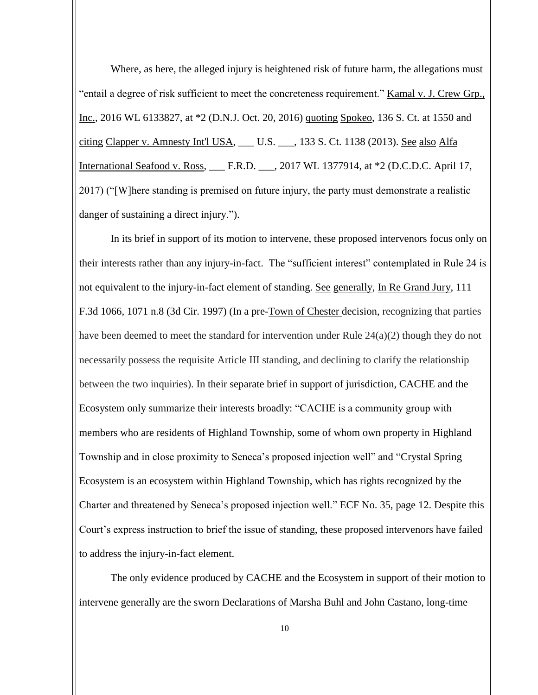Where, as here, the alleged injury is heightened risk of future harm, the allegations must "entail a degree of risk sufficient to meet the concreteness requirement." Kamal v. J. Crew Grp., Inc., 2016 WL 6133827, at \*2 (D.N.J. Oct. 20, 2016) quoting Spokeo, 136 S. Ct. at 1550 and citing Clapper v. Amnesty Int'l USA, \_\_\_ U.S. \_\_\_, 133 S. Ct. 1138 (2013). See also Alfa International Seafood v. Ross, \_\_\_ F.R.D. \_\_\_, 2017 WL 1377914, at \*2 (D.C.D.C. April 17, 2017) ("[W]here standing is premised on future injury, the party must demonstrate a realistic danger of sustaining a direct injury.").

In its brief in support of its motion to intervene, these proposed intervenors focus only on their interests rather than any injury-in-fact. The "sufficient interest" contemplated in Rule 24 is not equivalent to the injury-in-fact element of standing. See generally, In Re Grand Jury, 111 F.3d 1066, 1071 n.8 (3d Cir. 1997) (In a pre-Town of Chester decision, recognizing that parties have been deemed to meet the standard for intervention under Rule 24(a)(2) though they do not necessarily possess the requisite Article III standing, and declining to clarify the relationship between the two inquiries). In their separate brief in support of jurisdiction, CACHE and the Ecosystem only summarize their interests broadly: "CACHE is a community group with members who are residents of Highland Township, some of whom own property in Highland Township and in close proximity to Seneca's proposed injection well" and "Crystal Spring Ecosystem is an ecosystem within Highland Township, which has rights recognized by the Charter and threatened by Seneca's proposed injection well." ECF No. 35, page 12. Despite this Court's express instruction to brief the issue of standing, these proposed intervenors have failed to address the injury-in-fact element.

The only evidence produced by CACHE and the Ecosystem in support of their motion to intervene generally are the sworn Declarations of Marsha Buhl and John Castano, long-time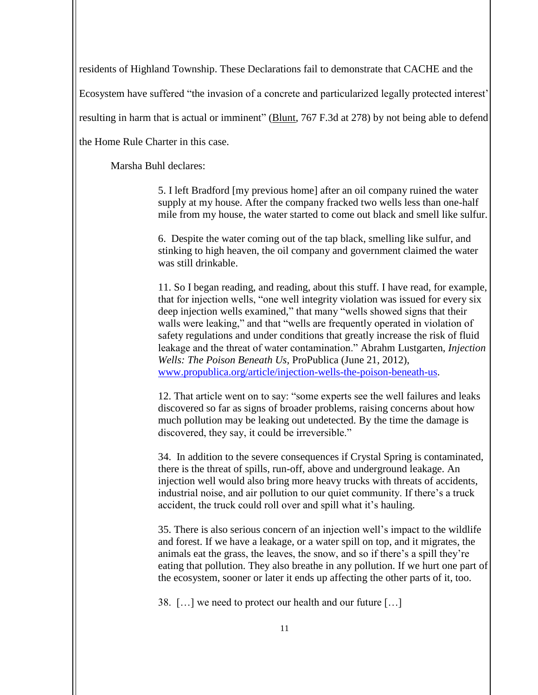residents of Highland Township. These Declarations fail to demonstrate that CACHE and the

Ecosystem have suffered "the invasion of a concrete and particularized legally protected interest'

resulting in harm that is actual or imminent" (Blunt, 767 F.3d at 278) by not being able to defend

the Home Rule Charter in this case.

Marsha Buhl declares:

5. I left Bradford [my previous home] after an oil company ruined the water supply at my house. After the company fracked two wells less than one-half mile from my house, the water started to come out black and smell like sulfur.

6. Despite the water coming out of the tap black, smelling like sulfur, and stinking to high heaven, the oil company and government claimed the water was still drinkable.

11. So I began reading, and reading, about this stuff. I have read, for example, that for injection wells, "one well integrity violation was issued for every six deep injection wells examined," that many "wells showed signs that their walls were leaking," and that "wells are frequently operated in violation of safety regulations and under conditions that greatly increase the risk of fluid leakage and the threat of water contamination." Abrahm Lustgarten, *Injection Wells: The Poison Beneath Us*, ProPublica (June 21, 2012), [www.propublica.org/article/injection-wells-the-poison-beneath-us.](http://www.propublica.org/article/injection-wells-the-poison-beneath-us)

12. That article went on to say: "some experts see the well failures and leaks discovered so far as signs of broader problems, raising concerns about how much pollution may be leaking out undetected. By the time the damage is discovered, they say, it could be irreversible."

34. In addition to the severe consequences if Crystal Spring is contaminated, there is the threat of spills, run-off, above and underground leakage. An injection well would also bring more heavy trucks with threats of accidents, industrial noise, and air pollution to our quiet community. If there's a truck accident, the truck could roll over and spill what it's hauling.

35. There is also serious concern of an injection well's impact to the wildlife and forest. If we have a leakage, or a water spill on top, and it migrates, the animals eat the grass, the leaves, the snow, and so if there's a spill they're eating that pollution. They also breathe in any pollution. If we hurt one part of the ecosystem, sooner or later it ends up affecting the other parts of it, too.

38. […] we need to protect our health and our future […]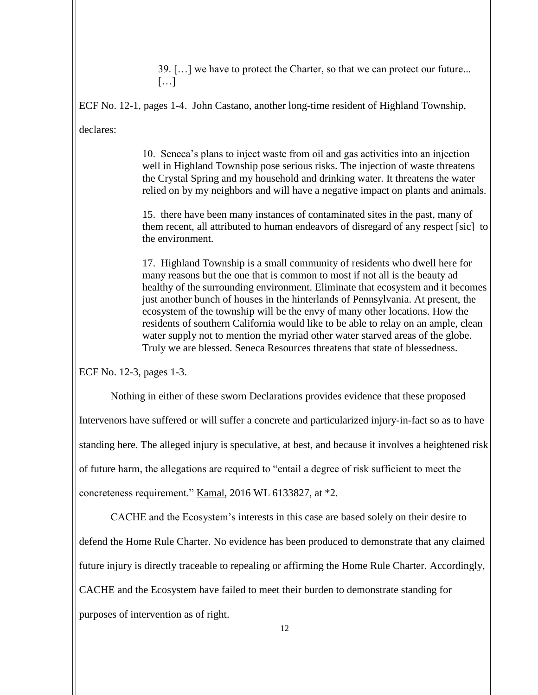39. […] we have to protect the Charter, so that we can protect our future...  $\lceil$ ...]

ECF No. 12-1, pages 1-4. John Castano, another long-time resident of Highland Township,

declares:

10. Seneca's plans to inject waste from oil and gas activities into an injection well in Highland Township pose serious risks. The injection of waste threatens the Crystal Spring and my household and drinking water. It threatens the water relied on by my neighbors and will have a negative impact on plants and animals.

15. there have been many instances of contaminated sites in the past, many of them recent, all attributed to human endeavors of disregard of any respect [sic] to the environment.

17. Highland Township is a small community of residents who dwell here for many reasons but the one that is common to most if not all is the beauty ad healthy of the surrounding environment. Eliminate that ecosystem and it becomes just another bunch of houses in the hinterlands of Pennsylvania. At present, the ecosystem of the township will be the envy of many other locations. How the residents of southern California would like to be able to relay on an ample, clean water supply not to mention the myriad other water starved areas of the globe. Truly we are blessed. Seneca Resources threatens that state of blessedness.

ECF No. 12-3, pages 1-3.

Nothing in either of these sworn Declarations provides evidence that these proposed Intervenors have suffered or will suffer a concrete and particularized injury-in-fact so as to have standing here. The alleged injury is speculative, at best, and because it involves a heightened risk of future harm, the allegations are required to "entail a degree of risk sufficient to meet the concreteness requirement." Kamal, 2016 WL 6133827, at \*2.

CACHE and the Ecosystem's interests in this case are based solely on their desire to defend the Home Rule Charter. No evidence has been produced to demonstrate that any claimed future injury is directly traceable to repealing or affirming the Home Rule Charter. Accordingly, CACHE and the Ecosystem have failed to meet their burden to demonstrate standing for purposes of intervention as of right.